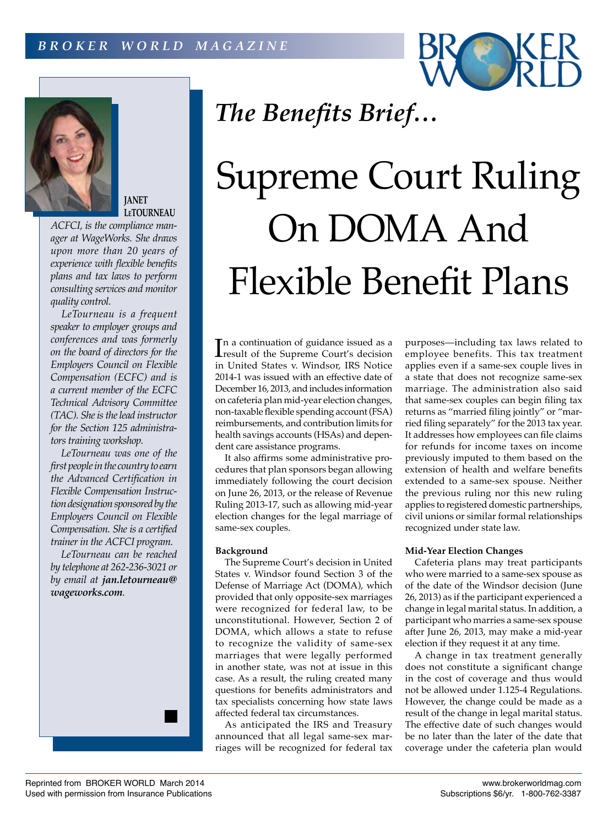



**JANET LeTOURNEAU**

*ACFCI, is the compliance manager at WageWorks. She draws upon more than 20 years of experience with flexible benefits plans and tax laws to perform consulting services and monitor quality control.*

*LeTourneau is a frequent speaker to employer groups and conferences and was formerly on the board of directors for the Employers Council on Flexible Compensation (ECFC) and is a current member of the ECFC Technical Advisory Committee (TAC). She is the lead instructor for the Section 125 administrators training workshop.*

*LeTourneau was one of the first people in the country to earn the Advanced Certification in Flexible Compensation Instruction designation sponsored by the Employers Council on Flexible Compensation. She is a certified trainer in the ACFCI program.*

*LeTourneau can be reached by telephone at 262-236-3021 or by email at jan.letourneau@ wageworks.com.*



# Supreme Court Ruling On DOMA And Flexible Benefit Plans

In a continuation of guidance issued as a<br>
result of the Supreme Court's decision<br>
in Heitad Station a Window IDC Nation result of the Supreme Court's decision in United States v. Windsor, IRS Notice 2014-1 was issued with an effective date of December 16, 2013, and includes information on cafeteria plan mid-year election changes, non-taxable flexible spending account (FSA) reimbursements, and contribution limits for health savings accounts (HSAs) and dependent care assistance programs.

*The Benefits Brief…*

It also affirms some administrative procedures that plan sponsors began allowing immediately following the court decision on June 26, 2013, or the release of Revenue Ruling 2013-17, such as allowing mid-year election changes for the legal marriage of same-sex couples.

# **Background**

The Supreme Court's decision in United States v. Windsor found Section 3 of the Defense of Marriage Act (DOMA), which provided that only opposite-sex marriages were recognized for federal law, to be unconstitutional. However, Section 2 of DOMA, which allows a state to refuse to recognize the validity of same-sex marriages that were legally performed in another state, was not at issue in this case. As a result, the ruling created many questions for benefits administrators and tax specialists concerning how state laws affected federal tax circumstances.

As anticipated the IRS and Treasury announced that all legal same-sex marriages will be recognized for federal tax purposes—including tax laws related to employee benefits. This tax treatment applies even if a same-sex couple lives in a state that does not recognize same-sex marriage. The administration also said that same-sex couples can begin filing tax returns as "married filing jointly" or "married filing separately" for the 2013 tax year. It addresses how employees can file claims for refunds for income taxes on income previously imputed to them based on the extension of health and welfare benefits extended to a same-sex spouse. Neither the previous ruling nor this new ruling applies to registered domestic partnerships, civil unions or similar formal relationships recognized under state law.

## **Mid-Year Election Changes**

Cafeteria plans may treat participants who were married to a same-sex spouse as of the date of the Windsor decision (June 26, 2013) as if the participant experienced a change in legal marital status. In addition, a participant who marries a same-sex spouse after June 26, 2013, may make a mid-year election if they request it at any time.

A change in tax treatment generally does not constitute a significant change in the cost of coverage and thus would not be allowed under 1.125-4 Regulations. However, the change could be made as a result of the change in legal marital status. The effective date of such changes would be no later than the later of the date that coverage under the cafeteria plan would